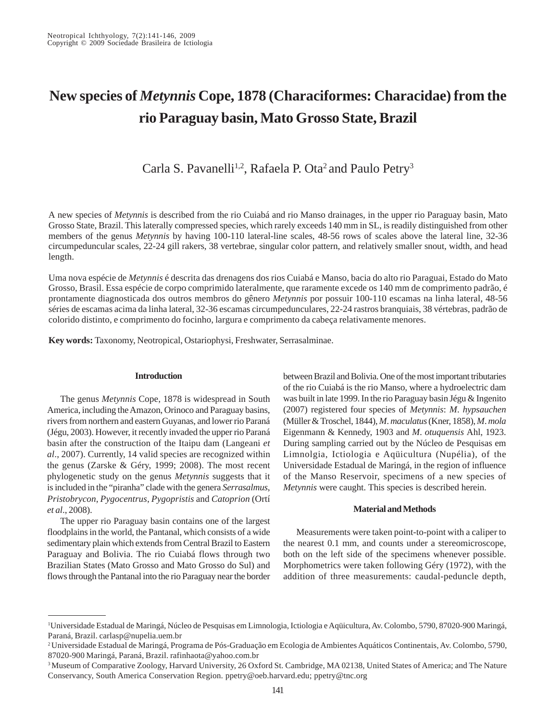# **New species of** *Metynnis* **Cope, 1878 (Characiformes: Characidae) from the rio Paraguay basin, Mato Grosso State, Brazil**

Carla S. Pavanelli<sup>1,2</sup>, Rafaela P. Ota<sup>2</sup> and Paulo Petry<sup>3</sup>

A new species of *Metynnis* is described from the rio Cuiabá and rio Manso drainages, in the upper rio Paraguay basin, Mato Grosso State, Brazil. This laterally compressed species, which rarely exceeds 140 mm in SL, is readily distinguished from other members of the genus *Metynnis* by having 100-110 lateral-line scales, 48-56 rows of scales above the lateral line, 32-36 circumpeduncular scales, 22-24 gill rakers, 38 vertebrae, singular color pattern, and relatively smaller snout, width, and head length.

Uma nova espécie de *Metynnis* é descrita das drenagens dos rios Cuiabá e Manso, bacia do alto rio Paraguai, Estado do Mato Grosso, Brasil. Essa espécie de corpo comprimido lateralmente, que raramente excede os 140 mm de comprimento padrão, é prontamente diagnosticada dos outros membros do gênero *Metynnis* por possuir 100-110 escamas na linha lateral, 48-56 séries de escamas acima da linha lateral, 32-36 escamas circumpedunculares, 22-24 rastros branquiais, 38 vértebras, padrão de colorido distinto, e comprimento do focinho, largura e comprimento da cabeça relativamente menores.

**Key words:** Taxonomy, Neotropical, Ostariophysi, Freshwater, Serrasalminae.

#### **Introduction**

The genus *Metynnis* Cope, 1878 is widespread in South America, including the Amazon, Orinoco and Paraguay basins, rivers from northern and eastern Guyanas, and lower rio Paraná (Jégu, 2003). However, it recently invaded the upper rio Paraná basin after the construction of the Itaipu dam (Langeani *et al*., 2007). Currently, 14 valid species are recognized within the genus (Zarske & Géry, 1999; 2008). The most recent phylogenetic study on the genus *Metynnis* suggests that it is included in the "piranha" clade with the genera *Serrasalmus*, *Pristobrycon*, *Pygocentrus*, *Pygopristis* and *Catoprion* (Ortí *et al*., 2008).

The upper rio Paraguay basin contains one of the largest floodplains in the world, the Pantanal, which consists of a wide sedimentary plain which extends from Central Brazil to Eastern Paraguay and Bolivia. The rio Cuiabá flows through two Brazilian States (Mato Grosso and Mato Grosso do Sul) and flows through the Pantanal into the rio Paraguay near the border between Brazil and Bolivia. One of the most important tributaries of the rio Cuiabá is the rio Manso, where a hydroelectric dam was built in late 1999. In the rio Paraguay basin Jégu & Ingenito (2007) registered four species of *Metynnis*: *M*. *hypsauchen* (Müller & Troschel, 1844), *M*. *maculatus* (Kner, 1858), *M*. *mola* Eigenmann & Kennedy, 1903 and *M*. *otuquensis* Ahl, 1923. During sampling carried out by the Núcleo de Pesquisas em Limnolgia, Ictiologia e Aqüicultura (Nupélia), of the Universidade Estadual de Maringá, in the region of influence of the Manso Reservoir, specimens of a new species of *Metynnis* were caught. This species is described herein.

#### **Material and Methods**

Measurements were taken point-to-point with a caliper to the nearest 0.1 mm, and counts under a stereomicroscope, both on the left side of the specimens whenever possible. Morphometrics were taken following Géry (1972), with the addition of three measurements: caudal-peduncle depth,

<sup>1</sup> Universidade Estadual de Maringá, Núcleo de Pesquisas em Limnologia, Ictiologia e Aqüicultura, Av. Colombo, 5790, 87020-900 Maringá, Paraná, Brazil. carlasp@nupelia.uem.br

<sup>2</sup> Universidade Estadual de Maringá, Programa de Pós-Graduação em Ecologia de Ambientes Aquáticos Continentais, Av. Colombo, 5790, 87020-900 Maringá, Paraná, Brazil. rafinhaota@yahoo.com.br

<sup>&</sup>lt;sup>3</sup> Museum of Comparative Zoology, Harvard University, 26 Oxford St. Cambridge, MA 02138, United States of America; and The Nature Conservancy, South America Conservation Region. ppetry@oeb.harvard.edu; ppetry@tnc.org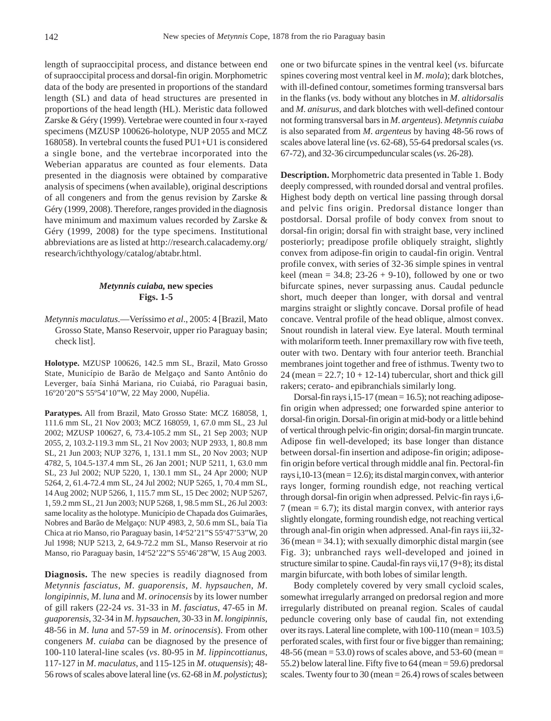length of supraoccipital process, and distance between end of supraoccipital process and dorsal-fin origin. Morphometric data of the body are presented in proportions of the standard length (SL) and data of head structures are presented in proportions of the head length (HL). Meristic data followed Zarske & Géry (1999). Vertebrae were counted in four x-rayed specimens (MZUSP 100626-holotype, NUP 2055 and MCZ 168058). In vertebral counts the fused PU1+U1 is considered a single bone, and the vertebrae incorporated into the Weberian apparatus are counted as four elements. Data presented in the diagnosis were obtained by comparative analysis of specimens (when available), original descriptions of all congeners and from the genus revision by Zarske & Géry (1999, 2008). Therefore, ranges provided in the diagnosis have minimum and maximum values recorded by Zarske & Géry (1999, 2008) for the type specimens. Institutional abbreviations are as listed at http://research.calacademy.org/ research/ichthyology/catalog/abtabr.html.

## *Metynnis cuiaba,* **new species Figs. 1-5**

*Metynnis maculatus*.—Veríssimo *et al*., 2005: 4 [Brazil, Mato Grosso State, Manso Reservoir, upper rio Paraguay basin; check list].

**Holotype.** MZUSP 100626, 142.5 mm SL, Brazil, Mato Grosso State, Município de Barão de Melgaço and Santo Antônio do Leverger, baía Sinhá Mariana, rio Cuiabá, rio Paraguai basin, 16º20'20"S 55º54'10"W, 22 May 2000, Nupélia.

**Paratypes.** All from Brazil, Mato Grosso State: MCZ 168058, 1, 111.6 mm SL, 21 Nov 2003; MCZ 168059, 1, 67.0 mm SL, 23 Jul 2002; MZUSP 100627, 6, 73.4-105.2 mm SL, 21 Sep 2003; NUP 2055, 2, 103.2-119.3 mm SL, 21 Nov 2003; NUP 2933, 1, 80.8 mm SL, 21 Jun 2003; NUP 3276, 1, 131.1 mm SL, 20 Nov 2003; NUP 4782, 5, 104.5-137.4 mm SL, 26 Jan 2001; NUP 5211, 1, 63.0 mm SL, 23 Jul 2002; NUP 5220, 1, 130.1 mm SL, 24 Apr 2000; NUP 5264, 2, 61.4-72.4 mm SL, 24 Jul 2002; NUP 5265, 1, 70.4 mm SL, 14 Aug 2002; NUP 5266, 1, 115.7 mm SL, 15 Dec 2002; NUP 5267, 1, 59.2 mm SL, 21 Jun 2003; NUP 5268, 1, 98.5 mm SL, 26 Jul 2003: same locality as the holotype. Município de Chapada dos Guimarães, Nobres and Barão de Melgaço: NUP 4983, 2, 50.6 mm SL, baía Tia Chica at rio Manso, rio Paraguay basin, 14°52'21"S 55°47'53"W, 20 Jul 1998; NUP 5213, 2, 64.9-72.2 mm SL, Manso Reservoir at rio Manso, rio Paraguay basin, 14°52'22"S 55°46'28"W, 15 Aug 2003.

**Diagnosis.** The new species is readily diagnosed from *Metynnis fasciatus*, *M*. *guaporensis*, *M*. *hypsauchen*, *M*. *longipinnis*, *M*. *luna* and *M*. *orinocensis* by its lower number of gill rakers (22-24 *vs*. 31-33 in *M*. *fasciatus*, 47-65 in *M*. *guaporensis*, 32-34 in *M*. *hypsauchen*, 30-33 in *M*. *longipinnis*, 48-56 in *M*. *luna* and 57-59 in *M*. *orinocensis*). From other congeners *M*. *cuiaba* can be diagnosed by the presence of 100-110 lateral-line scales (*vs*. 80-95 in *M*. *lippincottianus*, 117-127 in *M*. *maculatus*, and 115-125 in *M*. *otuquensis*); 48- 56 rows of scales above lateral line (*vs*. 62-68 in *M*. *polystictus*); one or two bifurcate spines in the ventral keel (*vs*. bifurcate spines covering most ventral keel in *M*. *mola*); dark blotches, with ill-defined contour, sometimes forming transversal bars in the flanks (*vs*. body without any blotches in *M*. *altidorsalis* and *M*. *anisurus*, and dark blotches with well-defined contour not forming transversal bars in *M*. *argenteus*). *Metynnis cuiaba* is also separated from *M*. *argenteus* by having 48-56 rows of scales above lateral line (*vs*. 62-68), 55-64 predorsal scales (*vs*. 67-72), and 32-36 circumpeduncular scales (*vs*. 26-28).

**Description.** Morphometric data presented in Table 1. Body deeply compressed, with rounded dorsal and ventral profiles. Highest body depth on vertical line passing through dorsal and pelvic fins origin. Predorsal distance longer than postdorsal. Dorsal profile of body convex from snout to dorsal-fin origin; dorsal fin with straight base, very inclined posteriorly; preadipose profile obliquely straight, slightly convex from adipose-fin origin to caudal-fin origin. Ventral profile convex, with series of 32-36 simple spines in ventral keel (mean =  $34.8$ ;  $23-26 + 9-10$ ), followed by one or two bifurcate spines, never surpassing anus. Caudal peduncle short, much deeper than longer, with dorsal and ventral margins straight or slightly concave. Dorsal profile of head concave. Ventral profile of the head oblique, almost convex. Snout roundish in lateral view. Eye lateral. Mouth terminal with molariform teeth. Inner premaxillary row with five teeth, outer with two. Dentary with four anterior teeth. Branchial membranes joint together and free of isthmus. Twenty two to 24 (mean =  $22.7$ ; 10 + 12-14) tubercular, short and thick gill rakers; cerato- and epibranchials similarly long.

Dorsal-fin rays i,  $15-17$  (mean = 16.5); not reaching adiposefin origin when adpressed; one forwarded spine anterior to dorsal-fin origin. Dorsal-fin origin at mid-body or a little behind of vertical through pelvic-fin origin; dorsal-fin margin truncate. Adipose fin well-developed; its base longer than distance between dorsal-fin insertion and adipose-fin origin; adiposefin origin before vertical through middle anal fin. Pectoral-fin rays i,  $10-13$  (mean = 12.6); its distal margin convex, with anterior rays longer, forming roundish edge, not reaching vertical through dorsal-fin origin when adpressed. Pelvic-fin rays i,6- 7 (mean  $= 6.7$ ); its distal margin convex, with anterior rays slightly elongate, forming roundish edge, not reaching vertical through anal-fin origin when adpressed. Anal-fin rays iii,32- 36 (mean = 34.1); with sexually dimorphic distal margin (see Fig. 3); unbranched rays well-developed and joined in structure similar to spine. Caudal-fin rays vii,17 (9+8); its distal margin bifurcate, with both lobes of similar length.

Body completely covered by very small cycloid scales, somewhat irregularly arranged on predorsal region and more irregularly distributed on preanal region. Scales of caudal peduncle covering only base of caudal fin, not extending over its rays. Lateral line complete, with 100-110 (mean = 103.5) perforated scales, with first four or five bigger than remaining;  $48-56$  (mean = 53.0) rows of scales above, and 53-60 (mean = 55.2) below lateral line. Fifty five to 64 (mean = 59.6) predorsal scales. Twenty four to 30 (mean  $= 26.4$ ) rows of scales between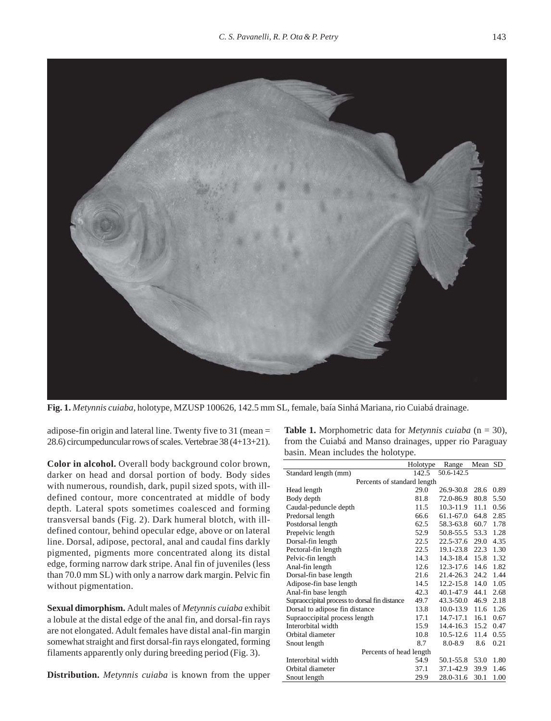

**Fig. 1.** *Metynnis cuiaba*, holotype, MZUSP 100626, 142.5 mm SL, female, baía Sinhá Mariana, rio Cuiabá drainage.

adipose-fin origin and lateral line. Twenty five to 31 (mean = 28.6) circumpeduncular rows of scales. Vertebrae 38 (4+13+21).

**Color in alcohol.** Overall body background color brown, darker on head and dorsal portion of body. Body sides with numerous, roundish, dark, pupil sized spots, with illdefined contour, more concentrated at middle of body depth. Lateral spots sometimes coalesced and forming transversal bands (Fig. 2). Dark humeral blotch, with illdefined contour, behind opecular edge, above or on lateral line. Dorsal, adipose, pectoral, anal and caudal fins darkly pigmented, pigments more concentrated along its distal edge, forming narrow dark stripe. Anal fin of juveniles (less than 70.0 mm SL) with only a narrow dark margin. Pelvic fin without pigmentation.

**Sexual dimorphism.** Adult males of *Metynnis cuiaba* exhibit a lobule at the distal edge of the anal fin, and dorsal-fin rays are not elongated. Adult females have distal anal-fin margin somewhat straight and first dorsal-fin rays elongated, forming filaments apparently only during breeding period (Fig. 3).

**Distribution.** *Metynnis cuiaba* is known from the upper

**Table 1.** Morphometric data for *Metynnis cuiaba* (n = 30), from the Cuiabá and Manso drainages, upper rio Paraguay basin. Mean includes the holotype.

|                                               | Holotype | Range         | Mean SD |      |
|-----------------------------------------------|----------|---------------|---------|------|
| Standard length (mm)                          | 142.5    | 50.6-142.5    |         |      |
| Percents of standard length                   |          |               |         |      |
| Head length                                   | 29.0     | 26.9-30.8     | 28.6    | 0.89 |
| Body depth                                    | 81.8     | 72.0-86.9     | 80.8    | 5.50 |
| Caudal-peduncle depth                         | 11.5     | 10.3-11.9     | 11.1    | 0.56 |
| Predorsal length                              | 66.6     | 61.1-67.0     | 64.8    | 2.85 |
| Postdorsal length                             | 62.5     | 58.3-63.8     | 60.7    | 1.78 |
| Prepelvic length                              | 52.9     | 50.8-55.5     | 53.3    | 1.28 |
| Dorsal-fin length                             | 22.5     | $22.5 - 37.6$ | 29.0    | 4.35 |
| Pectoral-fin length                           | 22.5     | 19.1-23.8     | 22.3    | 1.30 |
| Pelvic-fin length                             | 14.3     | 14.3-18.4     | 15.8    | 1.32 |
| Anal-fin length                               | 12.6     | 12.3-17.6     | 14.6    | 1.82 |
| Dorsal-fin base length                        | 21.6     | 21.4-26.3     | 24.2    | 1.44 |
| Adipose-fin base length                       | 14.5     | $12.2 - 15.8$ | 14.0    | 1.05 |
| Anal-fin base length                          | 42.3     | 40.1-47.9     | 44.1    | 2.68 |
| Supraoccipital process to dorsal fin distance | 49.7     | 43.3-50.0     | 46.9    | 2.18 |
| Dorsal to adipose fin distance                | 13.8     | $10.0 - 13.9$ | 11.6    | 1.26 |
| Supraoccipital process length                 | 17.1     | 14.7-17.1     | 16.1    | 0.67 |
| Interorbital width                            | 15.9     | 14.4-16.3     | 15.2    | 0.47 |
| Orbital diameter                              | 10.8     | $10.5 - 12.6$ | 11.4    | 0.55 |
| Snout length                                  | 8.7      | $8.0 - 8.9$   | 8.6     | 0.21 |
| Percents of head length                       |          |               |         |      |
| Interorbital width                            | 54.9     | 50.1-55.8     | 53.0    | 1.80 |
| Orbital diameter                              | 37.1     | 37.1-42.9     | 39.9    | 1.46 |
| Snout length                                  | 29.9     | 28.0-31.6     | 30.1    | 1.00 |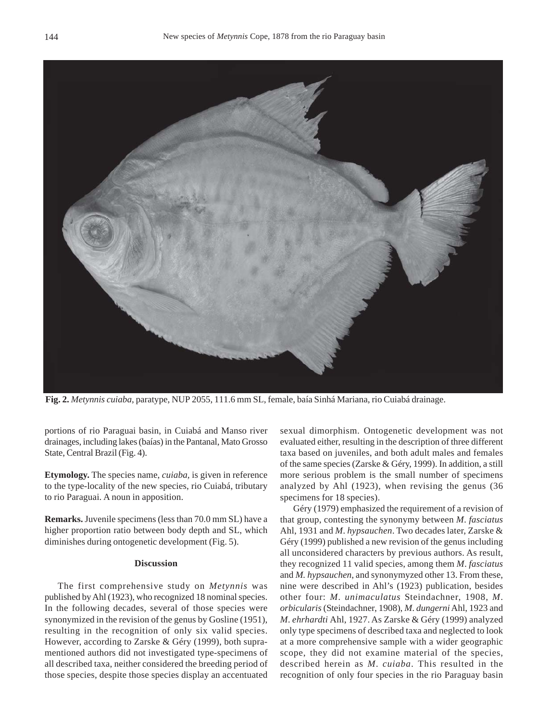

**Fig. 2.** *Metynnis cuiaba*, paratype, NUP 2055, 111.6 mm SL, female, baía Sinhá Mariana, rio Cuiabá drainage.

portions of rio Paraguai basin, in Cuiabá and Manso river drainages, including lakes (baías) in the Pantanal, Mato Grosso State, Central Brazil (Fig. 4).

**Etymology.** The species name, *cuiaba,* is given in reference to the type-locality of the new species, rio Cuiabá, tributary to rio Paraguai. A noun in apposition.

**Remarks.** Juvenile specimens (less than 70.0 mm SL) have a higher proportion ratio between body depth and SL, which diminishes during ontogenetic development (Fig. 5).

## **Discussion**

The first comprehensive study on *Metynnis* was published by Ahl (1923), who recognized 18 nominal species. In the following decades, several of those species were synonymized in the revision of the genus by Gosline (1951), resulting in the recognition of only six valid species. However, according to Zarske & Géry (1999), both supramentioned authors did not investigated type-specimens of all described taxa, neither considered the breeding period of those species, despite those species display an accentuated

sexual dimorphism. Ontogenetic development was not evaluated either, resulting in the description of three different taxa based on juveniles, and both adult males and females of the same species (Zarske & Géry, 1999). In addition, a still more serious problem is the small number of specimens analyzed by Ahl (1923), when revising the genus (36 specimens for 18 species).

Géry (1979) emphasized the requirement of a revision of that group, contesting the synonymy between *M*. *fasciatus* Ahl, 1931 and *M*. *hypsauchen*. Two decades later, Zarske & Géry (1999) published a new revision of the genus including all unconsidered characters by previous authors. As result, they recognized 11 valid species, among them *M*. *fasciatus* and *M. hypsauchen*, and synonymyzed other 13. From these, nine were described in Ahl's (1923) publication, besides other four: *M*. *unimaculatus* Steindachner, 1908, *M*. *orbicularis* (Steindachner, 1908), *M*. *dungerni* Ahl, 1923 and *M*. *ehrhardti* Ahl, 1927. As Zarske & Géry (1999) analyzed only type specimens of described taxa and neglected to look at a more comprehensive sample with a wider geographic scope, they did not examine material of the species, described herein as *M*. *cuiaba*. This resulted in the recognition of only four species in the rio Paraguay basin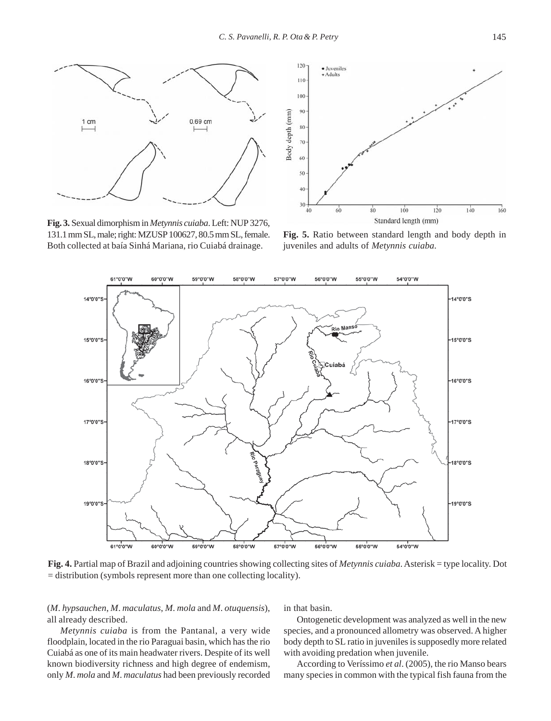

**Fig. 3.** Sexual dimorphism in *Metynnis cuiaba*. Left: NUP 3276, 131.1 mm SL, male; right: MZUSP 100627, 80.5 mm SL, female. Both collected at baía Sinhá Mariana, rio Cuiabá drainage.



**Fig. 5.** Ratio between standard length and body depth in juveniles and adults of *Metynnis cuiaba*.



**Fig. 4.** Partial map of Brazil and adjoining countries showing collecting sites of *Metynnis cuiaba*. Asterisk = type locality. Dot = distribution (symbols represent more than one collecting locality).

(*M*. *hypsauchen*, *M*. *maculatus*, *M*. *mola* and *M*. *otuquensis*), all already described.

*Metynnis cuiaba* is from the Pantanal, a very wide floodplain, located in the rio Paraguai basin, which has the rio Cuiabá as one of its main headwater rivers. Despite of its well known biodiversity richness and high degree of endemism, only *M*. *mola* and *M*. *maculatus* had been previously recorded in that basin.

Ontogenetic development was analyzed as well in the new species, and a pronounced allometry was observed. A higher body depth to SL ratio in juveniles is supposedly more related with avoiding predation when juvenile.

According to Veríssimo *et al*. (2005), the rio Manso bears many species in common with the typical fish fauna from the